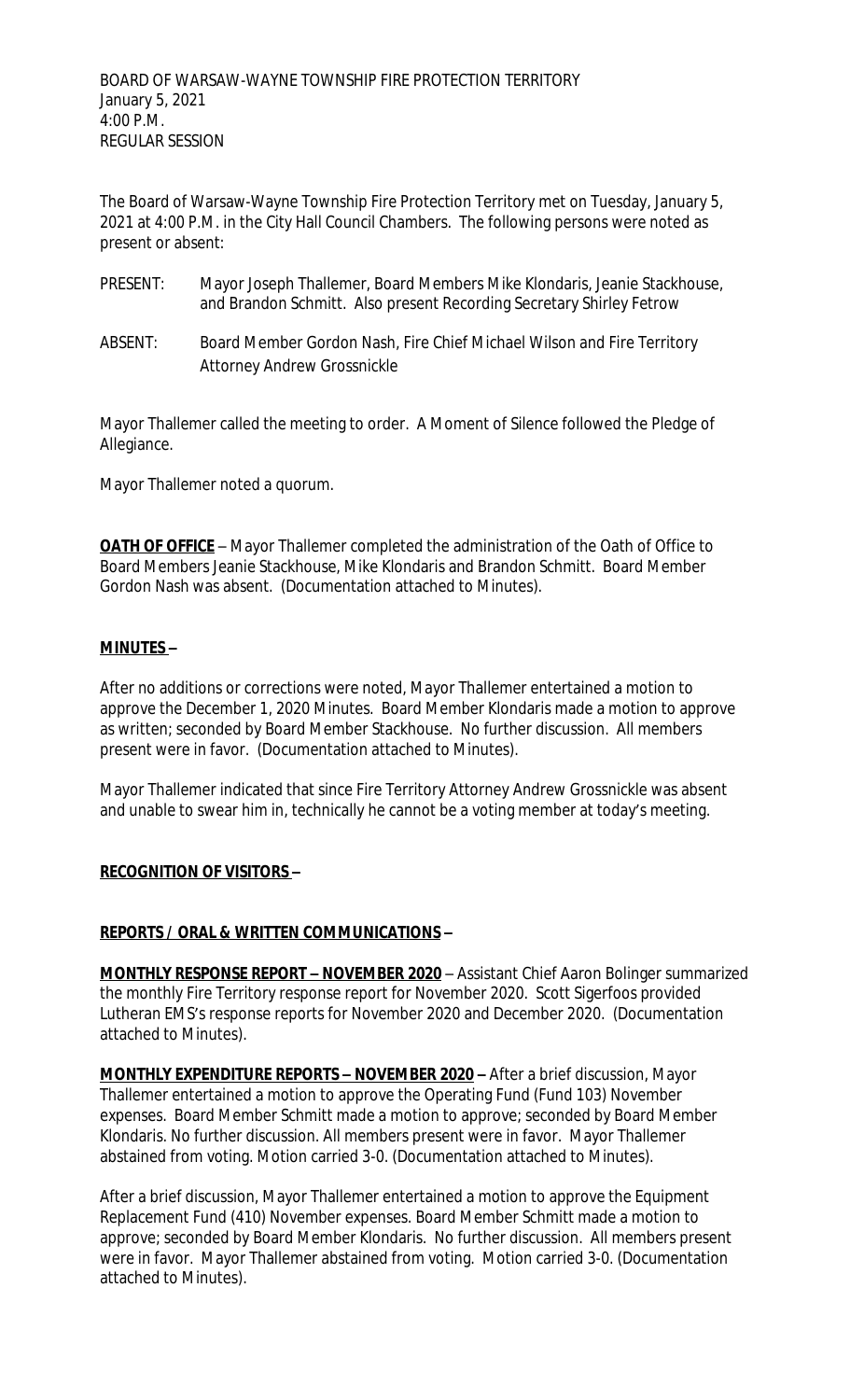The Board of Warsaw-Wayne Township Fire Protection Territory met on Tuesday, January 5, 2021 at 4:00 P.M. in the City Hall Council Chambers. The following persons were noted as present or absent:

- PRESENT: Mayor Joseph Thallemer, Board Members Mike Klondaris, Jeanie Stackhouse, and Brandon Schmitt. Also present Recording Secretary Shirley Fetrow
- ABSENT: Board Member Gordon Nash, Fire Chief Michael Wilson and Fire Territory Attorney Andrew Grossnickle

Mayor Thallemer called the meeting to order. A Moment of Silence followed the Pledge of Allegiance.

Mayor Thallemer noted a quorum.

**OATH OF OFFICE** – Mayor Thallemer completed the administration of the Oath of Office to Board Members Jeanie Stackhouse, Mike Klondaris and Brandon Schmitt. Board Member Gordon Nash was absent. (Documentation attached to Minutes).

### **MINUTES –**

After no additions or corrections were noted, Mayor Thallemer entertained a motion to approve the December 1, 2020 Minutes. Board Member Klondaris made a motion to approve as written; seconded by Board Member Stackhouse. No further discussion. All members present were in favor. (Documentation attached to Minutes).

Mayor Thallemer indicated that since Fire Territory Attorney Andrew Grossnickle was absent and unable to swear him in, technically he cannot be a voting member at today's meeting.

### **RECOGNITION OF VISITORS –**

### **REPORTS / ORAL & WRITTEN COMMUNICATIONS –**

**MONTHLY RESPONSE REPORT – NOVEMBER 2020** – Assistant Chief Aaron Bolinger summarized the monthly Fire Territory response report for November 2020. Scott Sigerfoos provided Lutheran EMS's response reports for November 2020 and December 2020. (Documentation attached to Minutes).

**MONTHLY EXPENDITURE REPORTS – NOVEMBER 2020 –** After a brief discussion, Mayor Thallemer entertained a motion to approve the Operating Fund (Fund 103) November expenses. Board Member Schmitt made a motion to approve; seconded by Board Member Klondaris. No further discussion. All members present were in favor. Mayor Thallemer abstained from voting. Motion carried 3-0. (Documentation attached to Minutes).

After a brief discussion, Mayor Thallemer entertained a motion to approve the Equipment Replacement Fund (410) November expenses. Board Member Schmitt made a motion to approve; seconded by Board Member Klondaris. No further discussion. All members present were in favor. Mayor Thallemer abstained from voting. Motion carried 3-0. (Documentation attached to Minutes).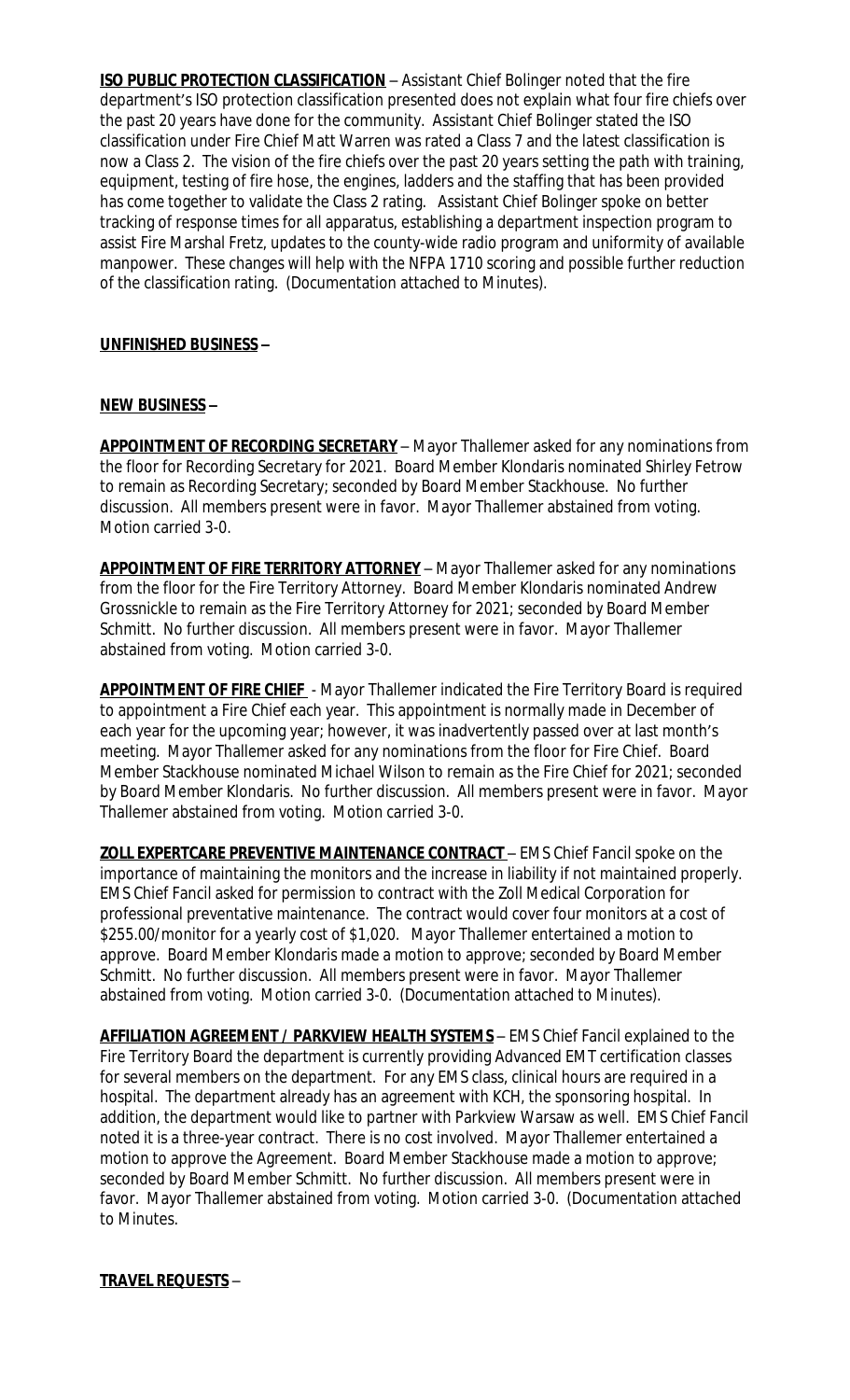**ISO PUBLIC PROTECTION CLASSIFICATION** - Assistant Chief Bolinger noted that the fire department's ISO protection classification presented does not explain what four fire chiefs over the past 20 years have done for the community. Assistant Chief Bolinger stated the ISO classification under Fire Chief Matt Warren was rated a Class 7 and the latest classification is now a Class 2. The vision of the fire chiefs over the past 20 years setting the path with training, equipment, testing of fire hose, the engines, ladders and the staffing that has been provided has come together to validate the Class 2 rating. Assistant Chief Bolinger spoke on better tracking of response times for all apparatus, establishing a department inspection program to assist Fire Marshal Fretz, updates to the county-wide radio program and uniformity of available manpower. These changes will help with the NFPA 1710 scoring and possible further reduction of the classification rating. (Documentation attached to Minutes).

### **UNFINISHED BUSINESS –**

## **NEW BUSINESS –**

**APPOINTMENT OF RECORDING SECRETARY** – Mayor Thallemer asked for any nominations from the floor for Recording Secretary for 2021. Board Member Klondaris nominated Shirley Fetrow to remain as Recording Secretary; seconded by Board Member Stackhouse. No further discussion. All members present were in favor. Mayor Thallemer abstained from voting. Motion carried 3-0.

**APPOINTMENT OF FIRE TERRITORY ATTORNEY** – Mayor Thallemer asked for any nominations from the floor for the Fire Territory Attorney. Board Member Klondaris nominated Andrew Grossnickle to remain as the Fire Territory Attorney for 2021; seconded by Board Member Schmitt. No further discussion. All members present were in favor. Mayor Thallemer abstained from voting. Motion carried 3-0.

**APPOINTMENT OF FIRE CHIEF** - Mayor Thallemer indicated the Fire Territory Board is required to appointment a Fire Chief each year. This appointment is normally made in December of each year for the upcoming year; however, it was inadvertently passed over at last month's meeting. Mayor Thallemer asked for any nominations from the floor for Fire Chief. Board Member Stackhouse nominated Michael Wilson to remain as the Fire Chief for 2021; seconded by Board Member Klondaris. No further discussion. All members present were in favor. Mayor Thallemer abstained from voting. Motion carried 3-0.

**ZOLL EXPERTCARE PREVENTIVE MAINTENANCE CONTRACT** – EMS Chief Fancil spoke on the importance of maintaining the monitors and the increase in liability if not maintained properly. EMS Chief Fancil asked for permission to contract with the Zoll Medical Corporation for professional preventative maintenance. The contract would cover four monitors at a cost of \$255.00/monitor for a yearly cost of \$1,020. Mayor Thallemer entertained a motion to approve. Board Member Klondaris made a motion to approve; seconded by Board Member Schmitt. No further discussion. All members present were in favor. Mayor Thallemer abstained from voting. Motion carried 3-0. (Documentation attached to Minutes).

**AFFILIATION AGREEMENT / PARKVIEW HEALTH SYSTEMS** – EMS Chief Fancil explained to the Fire Territory Board the department is currently providing Advanced EMT certification classes for several members on the department. For any EMS class, clinical hours are required in a hospital. The department already has an agreement with KCH, the sponsoring hospital. In addition, the department would like to partner with Parkview Warsaw as well. EMS Chief Fancil noted it is a three-year contract. There is no cost involved. Mayor Thallemer entertained a motion to approve the Agreement. Board Member Stackhouse made a motion to approve; seconded by Board Member Schmitt. No further discussion. All members present were in favor. Mayor Thallemer abstained from voting. Motion carried 3-0. (Documentation attached to Minutes.

## **TRAVEL REQUESTS** –